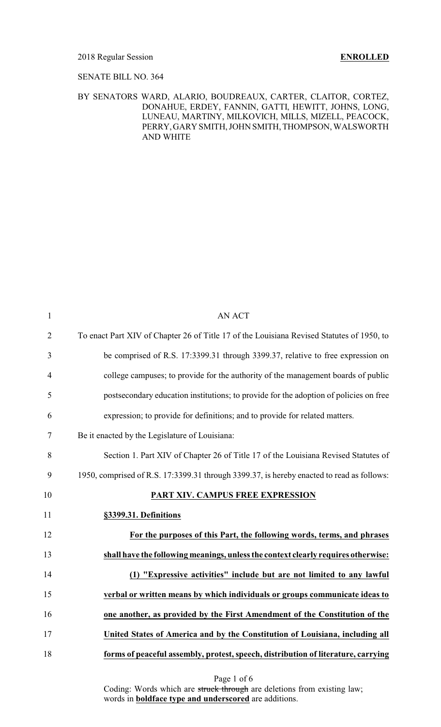### 2018 Regular Session **ENROLLED**

### SENATE BILL NO. 364

### BY SENATORS WARD, ALARIO, BOUDREAUX, CARTER, CLAITOR, CORTEZ, DONAHUE, ERDEY, FANNIN, GATTI, HEWITT, JOHNS, LONG, LUNEAU, MARTINY, MILKOVICH, MILLS, MIZELL, PEACOCK, PERRY,GARY SMITH, JOHN SMITH, THOMPSON, WALSWORTH AND WHITE

| $\mathbf{1}$   | <b>AN ACT</b>                                                                             |
|----------------|-------------------------------------------------------------------------------------------|
| $\overline{2}$ | To enact Part XIV of Chapter 26 of Title 17 of the Louisiana Revised Statutes of 1950, to |
| 3              | be comprised of R.S. 17:3399.31 through 3399.37, relative to free expression on           |
| 4              | college campuses; to provide for the authority of the management boards of public         |
| 5              | postsecondary education institutions; to provide for the adoption of policies on free     |
| 6              | expression; to provide for definitions; and to provide for related matters.               |
| 7              | Be it enacted by the Legislature of Louisiana:                                            |
| 8              | Section 1. Part XIV of Chapter 26 of Title 17 of the Louisiana Revised Statutes of        |
| 9              | 1950, comprised of R.S. 17:3399.31 through 3399.37, is hereby enacted to read as follows: |
| 10             | PART XIV. CAMPUS FREE EXPRESSION                                                          |
| 11             | §3399.31. Definitions                                                                     |
| 12             | For the purposes of this Part, the following words, terms, and phrases                    |
| 13             | shall have the following meanings, unless the context clearly requires otherwise:         |
| 14             | (1) "Expressive activities" include but are not limited to any lawful                     |
| 15             | verbal or written means by which individuals or groups communicate ideas to               |
| 16             | one another, as provided by the First Amendment of the Constitution of the                |
| 17             | United States of America and by the Constitution of Louisiana, including all              |
|                |                                                                                           |
| 18             | forms of peaceful assembly, protest, speech, distribution of literature, carrying         |

Page 1 of 6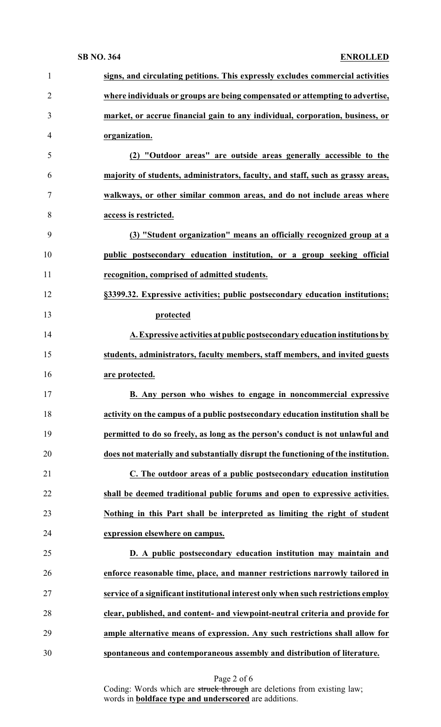| $\mathbf{1}$   | signs, and circulating petitions. This expressly excludes commercial activities    |
|----------------|------------------------------------------------------------------------------------|
| $\overline{2}$ | where individuals or groups are being compensated or attempting to advertise,      |
| 3              | market, or accrue financial gain to any individual, corporation, business, or      |
| 4              | organization.                                                                      |
| 5              | (2) "Outdoor areas" are outside areas generally accessible to the                  |
| 6              | majority of students, administrators, faculty, and staff, such as grassy areas,    |
| 7              | walkways, or other similar common areas, and do not include areas where            |
| 8              | access is restricted.                                                              |
| 9              | (3) "Student organization" means an officially recognized group at a               |
| 10             | public postsecondary education institution, or a group seeking official            |
| 11             | recognition, comprised of admitted students.                                       |
| 12             | §3399.32. Expressive activities; public postsecondary education institutions;      |
| 13             | protected                                                                          |
| 14             | A. Expressive activities at public postsecondary education institutions by         |
| 15             | students, administrators, faculty members, staff members, and invited guests       |
| 16             | are protected.                                                                     |
| 17             | B. Any person who wishes to engage in noncommercial expressive                     |
| 18             | activity on the campus of a public postsecondary education institution shall be    |
| 19             | permitted to do so freely, as long as the person's conduct is not unlawful and     |
| 20             | does not materially and substantially disrupt the functioning of the institution.  |
| 21             | C. The outdoor areas of a public postsecondary education institution               |
| 22             | shall be deemed traditional public forums and open to expressive activities.       |
| 23             | Nothing in this Part shall be interpreted as limiting the right of student         |
| 24             | expression elsewhere on campus.                                                    |
| 25             | D. A public postsecondary education institution may maintain and                   |
| 26             | enforce reasonable time, place, and manner restrictions narrowly tailored in       |
|                | service of a significant institutional interest only when such restrictions employ |
| 27             | clear, published, and content- and viewpoint-neutral criteria and provide for      |
| 28             |                                                                                    |
| 29             | ample alternative means of expression. Any such restrictions shall allow for       |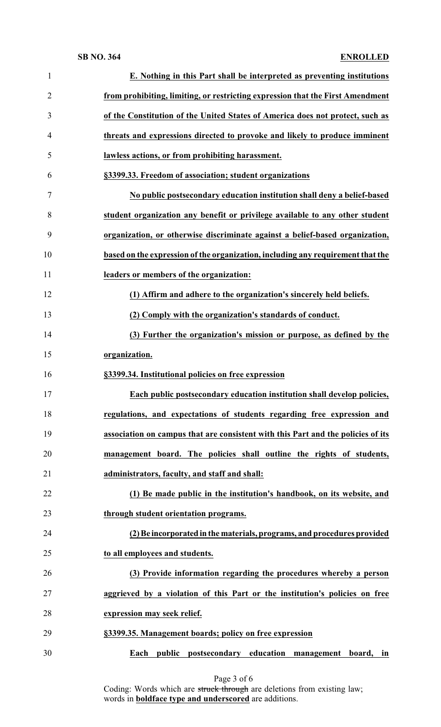| $\mathbf{1}$   | E. Nothing in this Part shall be interpreted as preventing institutions          |
|----------------|----------------------------------------------------------------------------------|
| $\overline{2}$ | from prohibiting, limiting, or restricting expression that the First Amendment   |
| 3              | of the Constitution of the United States of America does not protect, such as    |
| 4              | threats and expressions directed to provoke and likely to produce imminent       |
| 5              | lawless actions, or from prohibiting harassment.                                 |
| 6              | §3399.33. Freedom of association; student organizations                          |
| 7              | No public postsecondary education institution shall deny a belief-based          |
| 8              | student organization any benefit or privilege available to any other student     |
| 9              | organization, or otherwise discriminate against a belief-based organization,     |
| 10             | based on the expression of the organization, including any requirement that the  |
| 11             | leaders or members of the organization:                                          |
| 12             | (1) Affirm and adhere to the organization's sincerely held beliefs.              |
| 13             | (2) Comply with the organization's standards of conduct.                         |
| 14             | (3) Further the organization's mission or purpose, as defined by the             |
| 15             | organization.                                                                    |
|                |                                                                                  |
| 16             | §3399.34. Institutional policies on free expression                              |
| 17             | Each public postsecondary education institution shall develop policies,          |
| 18             | regulations, and expectations of students regarding free expression and          |
| 19             | association on campus that are consistent with this Part and the policies of its |
| 20             | management board. The policies shall outline the rights of students,             |
| 21             | administrators, faculty, and staff and shall:                                    |
| 22             | (1) Be made public in the institution's handbook, on its website, and            |
| 23             | through student orientation programs.                                            |
| 24             | (2) Be incorporated in the materials, programs, and procedures provided          |
| 25             | to all employees and students.                                                   |
| 26             | (3) Provide information regarding the procedures whereby a person                |
| 27             | aggrieved by a violation of this Part or the institution's policies on free      |
| 28             | expression may seek relief.                                                      |
| 29             | §3399.35. Management boards; policy on free expression                           |

Page 3 of 6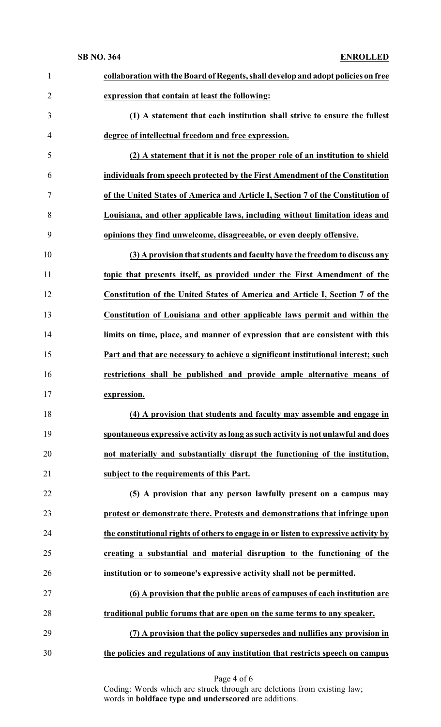| $\mathbf{1}$   | collaboration with the Board of Regents, shall develop and adopt policies on free    |
|----------------|--------------------------------------------------------------------------------------|
| $\overline{2}$ | expression that contain at least the following:                                      |
| 3              | (1) A statement that each institution shall strive to ensure the fullest             |
| 4              | degree of intellectual freedom and free expression.                                  |
| 5              | (2) A statement that it is not the proper role of an institution to shield           |
| 6              | individuals from speech protected by the First Amendment of the Constitution         |
| 7              | of the United States of America and Article I, Section 7 of the Constitution of      |
| 8              | Louisiana, and other applicable laws, including without limitation ideas and         |
| 9              | opinions they find unwelcome, disagreeable, or even deeply offensive.                |
| 10             | (3) A provision that students and faculty have the freedom to discuss any            |
| 11             | topic that presents itself, as provided under the First Amendment of the             |
| 12             | Constitution of the United States of America and Article I, Section 7 of the         |
| 13             | Constitution of Louisiana and other applicable laws permit and within the            |
| 14             | limits on time, place, and manner of expression that are consistent with this        |
| 15             | Part and that are necessary to achieve a significant institutional interest; such    |
| 16             | restrictions shall be published and provide ample alternative means of               |
| 17             | expression.                                                                          |
| 18             | (4) A provision that students and faculty may assemble and engage in                 |
| 19             | spontaneous expressive activity as long as such activity is not unlawful and does    |
| 20             | not materially and substantially disrupt the functioning of the institution,         |
| 21             | subject to the requirements of this Part.                                            |
| 22             | (5) A provision that any person lawfully present on a campus may                     |
| 23             | protest or demonstrate there. Protests and demonstrations that infringe upon         |
| 24             | the constitutional rights of others to engage in or listen to expressive activity by |
| 25             | creating a substantial and material disruption to the functioning of the             |
| 26             | institution or to someone's expressive activity shall not be permitted.              |
| 27             | (6) A provision that the public areas of campuses of each institution are            |
| 28             | traditional public forums that are open on the same terms to any speaker.            |
| 29             | (7) A provision that the policy supersedes and nullifies any provision in            |
| 30             | the policies and regulations of any institution that restricts speech on campus      |
|                |                                                                                      |

Page 4 of 6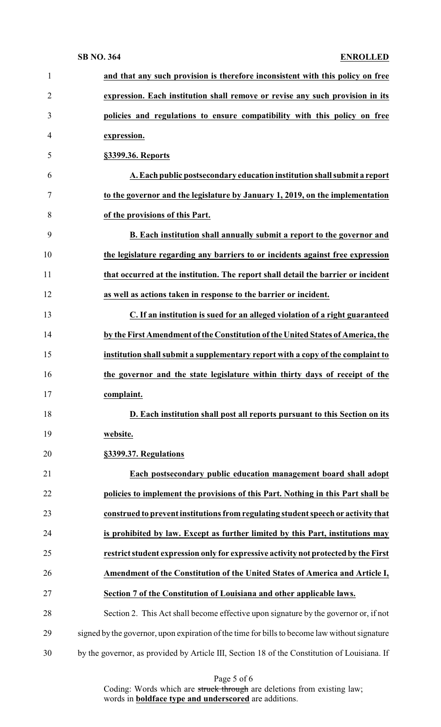| $\mathbf{1}$   | and that any such provision is therefore inconsistent with this policy on free                |
|----------------|-----------------------------------------------------------------------------------------------|
| $\overline{2}$ | expression. Each institution shall remove or revise any such provision in its                 |
| 3              | policies and regulations to ensure compatibility with this policy on free                     |
| 4              | expression.                                                                                   |
| 5              | §3399.36. Reports                                                                             |
| 6              | A. Each public postsecondary education institution shall submit a report                      |
| 7              | to the governor and the legislature by January 1, 2019, on the implementation                 |
| 8              | of the provisions of this Part.                                                               |
| 9              | B. Each institution shall annually submit a report to the governor and                        |
| 10             | the legislature regarding any barriers to or incidents against free expression                |
| 11             | that occurred at the institution. The report shall detail the barrier or incident             |
| 12             | as well as actions taken in response to the barrier or incident.                              |
| 13             | C. If an institution is sued for an alleged violation of a right guaranteed                   |
| 14             | by the First Amendment of the Constitution of the United States of America, the               |
| 15             | institution shall submit a supplementary report with a copy of the complaint to               |
| 16             | the governor and the state legislature within thirty days of receipt of the                   |
| 17             | complaint.                                                                                    |
| 18             | D. Each institution shall post all reports pursuant to this Section on its                    |
| 19             | website.                                                                                      |
| 20             | §3399.37. Regulations                                                                         |
| 21             | Each postsecondary public education management board shall adopt                              |
| 22             | policies to implement the provisions of this Part. Nothing in this Part shall be              |
| 23             | construed to prevent institutions from regulating student speech or activity that             |
| 24             | is prohibited by law. Except as further limited by this Part, institutions may                |
| 25             | restrict student expression only for expressive activity not protected by the First           |
| 26             | Amendment of the Constitution of the United States of America and Article I,                  |
| 27             | Section 7 of the Constitution of Louisiana and other applicable laws.                         |
| 28             | Section 2. This Act shall become effective upon signature by the governor or, if not          |
| 29             | signed by the governor, upon expiration of the time for bills to become law without signature |
| 30             | by the governor, as provided by Article III, Section 18 of the Constitution of Louisiana. If  |

Page 5 of 6